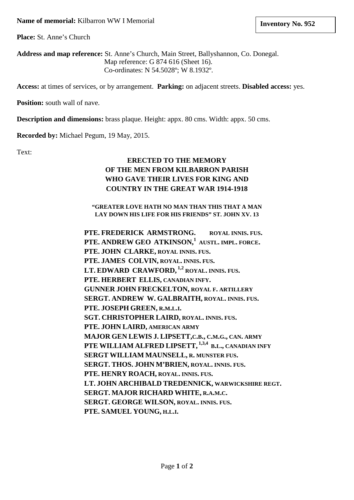**Place:** St. Anne's Church

**Address and map reference:** St. Anne's Church, Main Street, Ballyshannon, Co. Donegal. Map reference: G 874 616 (Sheet 16). Co-ordinates: N 54.5028º; W 8.1932º.

**Access:** at times of services, or by arrangement. **Parking:** on adjacent streets. **Disabled access:** yes.

**Position:** south wall of nave.

**Description and dimensions:** brass plaque. Height: appx. 80 cms. Width: appx. 50 cms.

**Recorded by:** Michael Pegum, 19 May, 2015.

Text:

# **ERECTED TO THE MEMORY OF THE MEN FROM KILBARRON PARISH WHO GAVE THEIR LIVES FOR KING AND COUNTRY IN THE GREAT WAR 1914-1918**

**"GREATER LOVE HATH NO MAN THAN THIS THAT A MAN LAY DOWN HIS LIFE FOR HIS FRIENDS" ST. JOHN XV. 13**

**PTE. FREDERICK ARMSTRONG. ROYAL INNIS. FUS. PTE. ANDREW GEO ATKINSON,1 AUSTL. IMPL. FORCE. PTE. JOHN CLARKE, ROYAL INNIS. FUS. PTE. JAMES COLVIN, ROYAL. INNIS. FUS. LT. EDWARD CRAWFORD, 1,2 ROYAL. INNIS. FUS. PTE. HERBERT ELLIS, CANADIAN INFY. GUNNER JOHN FRECKELTON, ROYAL F. ARTILLERY SERGT. ANDREW W. GALBRAITH, ROYAL. INNIS. FUS. PTE. JOSEPH GREEN, R.M.L.I. SGT. CHRISTOPHER LAIRD, ROYAL. INNIS. FUS. PTE. JOHN LAIRD, AMERICAN ARMY MAJOR GEN LEWIS J. LIPSETT,C.B., C.M.G., CAN. ARMY PTE WILLIAM ALFRED LIPSETT, 1,3,4 B.L., CANADIAN INFY SERGT WILLIAM MAUNSELL, R. MUNSTER FUS. SERGT. THOS. JOHN M'BRIEN, ROYAL. INNIS. FUS. PTE. HENRY ROACH, ROYAL. INNIS. FUS. LT. JOHN ARCHIBALD TREDENNICK, WARWICKSHIRE REGT. SERGT. MAJOR RICHARD WHITE, R.A.M.C. SERGT. GEORGE WILSON, ROYAL. INNIS. FUS. PTE. SAMUEL YOUNG, H.L.I.**